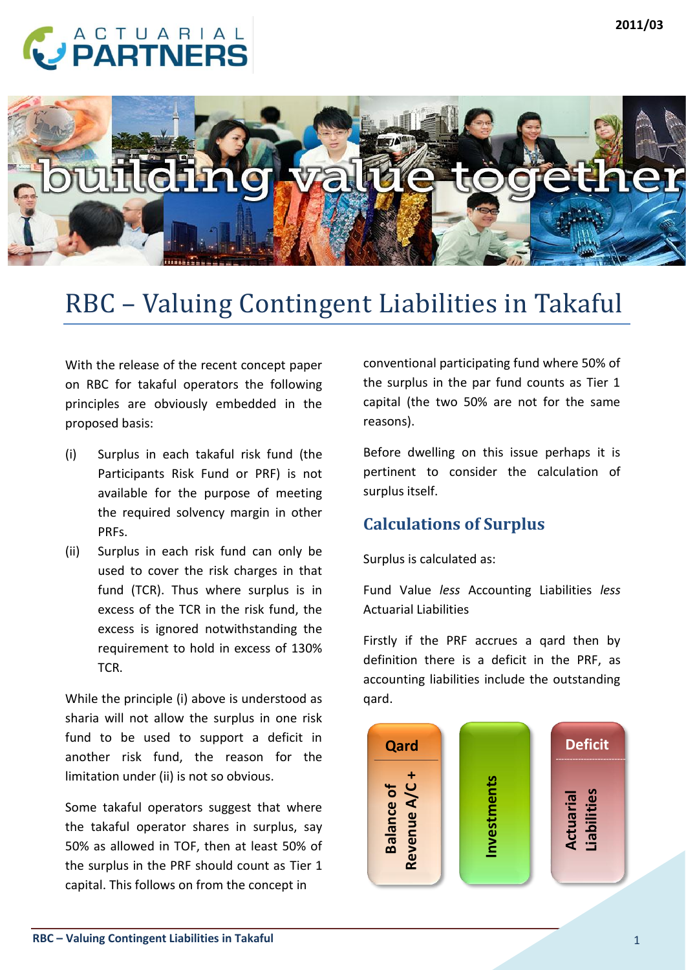# **CARTNERS**



## RBC – Valuing Contingent Liabilities in Takaful

With the release of the recent concept paper on RBC for takaful operators the following principles are obviously embedded in the proposed basis:

- (i) Surplus in each takaful risk fund (the Participants Risk Fund or PRF) is not available for the purpose of meeting the required solvency margin in other PRFs.
- (ii) Surplus in each risk fund can only be used to cover the risk charges in that fund (TCR). Thus where surplus is in excess of the TCR in the risk fund, the excess is ignored notwithstanding the requirement to hold in excess of 130% TCR.

While the principle (i) above is understood as sharia will not allow the surplus in one risk fund to be used to support a deficit in another risk fund, the reason for the limitation under (ii) is not so obvious.

Some takaful operators suggest that where the takaful operator shares in surplus, say 50% as allowed in TOF, then at least 50% of the surplus in the PRF should count as Tier 1 capital. This follows on from the concept in

conventional participating fund where 50% of the surplus in the par fund counts as Tier 1 capital (the two 50% are not for the same reasons).

Before dwelling on this issue perhaps it is pertinent to consider the calculation of surplus itself.

## **Calculations of Surplus**

Surplus is calculated as:

Fund Value *less* Accounting Liabilities *less*  Actuarial Liabilities

Firstly if the PRF accrues a qard then by definition there is a deficit in the PRF, as accounting liabilities include the outstanding qard.

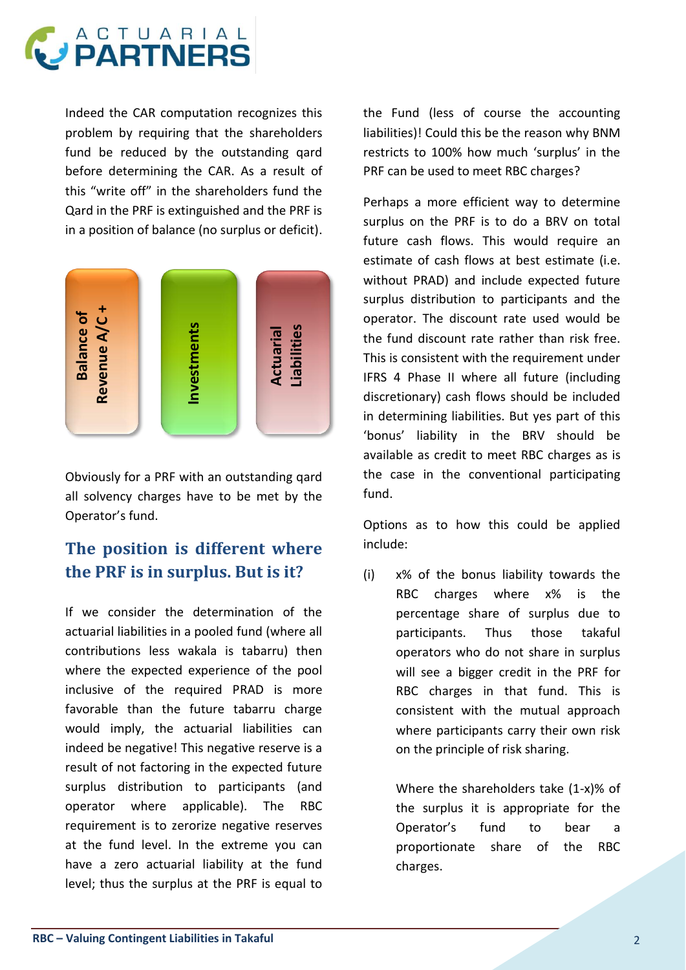

Indeed the CAR computation recognizes this problem by requiring that the shareholders fund be reduced by the outstanding qard before determining the CAR. As a result of this "write off" in the shareholders fund the Qard in the PRF is extinguished and the PRF is in a position of balance (no surplus or deficit).



Obviously for a PRF with an outstanding qard all solvency charges have to be met by the Operator's fund.

## **The position is different where the PRF is in surplus. But is it?**

**RBC**<br> **RBC Properties Contingent Liability and the transformer and disconsistent with the requirement under<br>
<b>RBC Properties Example 1 Example 1 Example 1 Example 1 Example 1 Continent Liberation and the** If we consider the determination of the actuarial liabilities in a pooled fund (where all contributions less wakala is tabarru) then where the expected experience of the pool inclusive of the required PRAD is more favorable than the future tabarru charge would imply, the actuarial liabilities can indeed be negative! This negative reserve is a result of not factoring in the expected future surplus distribution to participants (and operator where applicable). The RBC requirement is to zerorize negative reserves at the fund level. In the extreme you can have a zero actuarial liability at the fund level; thus the surplus at the PRF is equal to

the Fund (less of course the accounting liabilities)! Could this be the reason why BNM restricts to 100% how much 'surplus' in the PRF can be used to meet RBC charges?

Perhaps a more efficient way to determine surplus on the PRF is to do a BRV on total future cash flows. This would require an estimate of cash flows at best estimate (i.e. without PRAD) and include expected future surplus distribution to participants and the operator. The discount rate used would be the fund discount rate rather than risk free. This is consistent with the requirement under IFRS 4 Phase II where all future (including discretionary) cash flows should be included in determining liabilities. But yes part of this 'bonus' liability in the BRV should be available as credit to meet RBC charges as is the case in the conventional participating fund.

Options as to how this could be applied include:

(i) x% of the bonus liability towards the RBC charges where x% is the percentage share of surplus due to participants. Thus those takaful operators who do not share in surplus will see a bigger credit in the PRF for RBC charges in that fund. This is consistent with the mutual approach where participants carry their own risk on the principle of risk sharing.

> Where the shareholders take (1-x)% of the surplus it is appropriate for the Operator's fund to bear a proportionate share of the RBC charges.